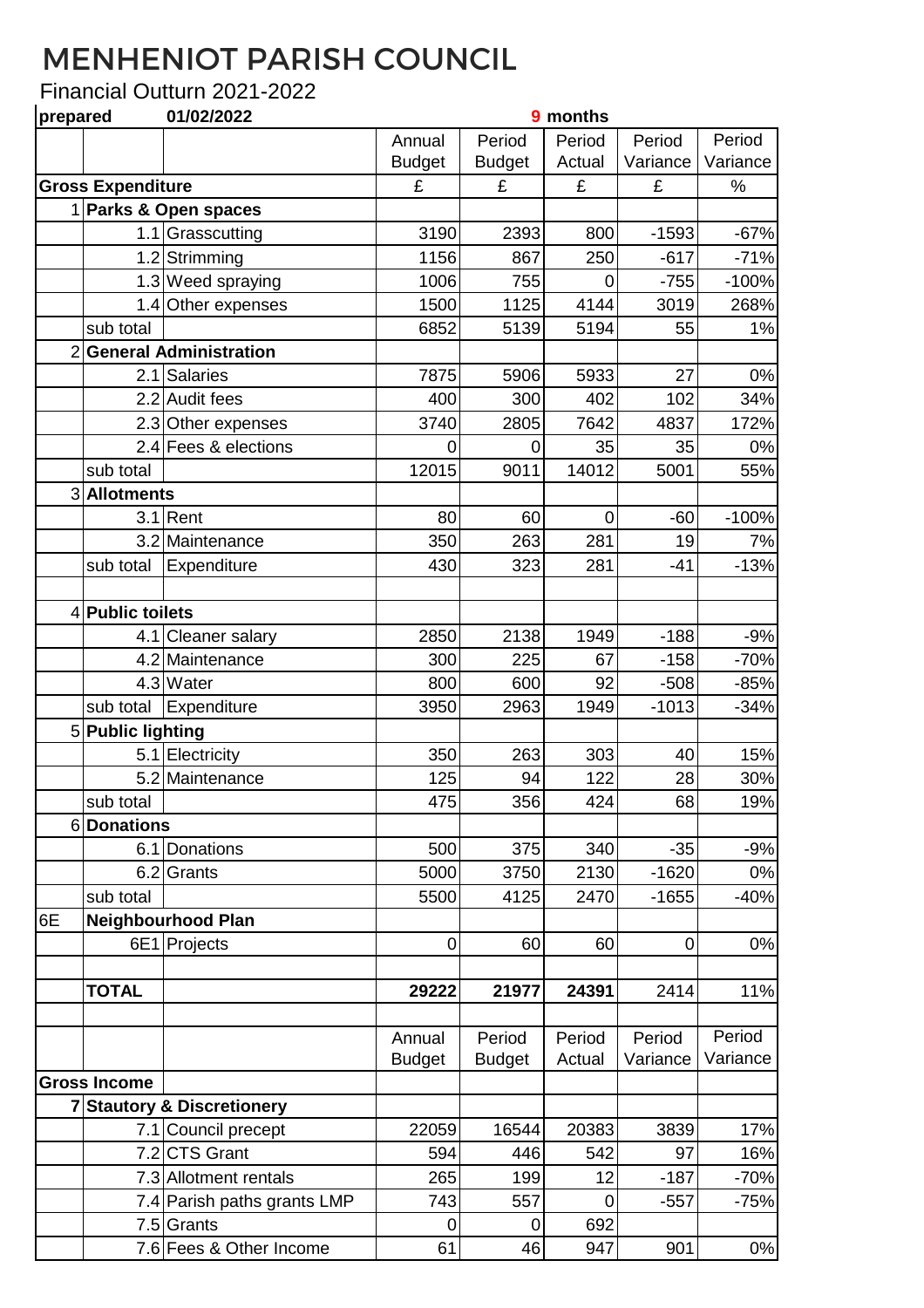## MENHENIOT PARISH COUNCIL

## Financial Outturn 2021-2022

| prepared |                          | 01/02/2022                            |                         |                         | 9 months         |                    |                    |
|----------|--------------------------|---------------------------------------|-------------------------|-------------------------|------------------|--------------------|--------------------|
|          |                          |                                       | Annual<br><b>Budget</b> | Period<br><b>Budget</b> | Period<br>Actual | Period<br>Variance | Period<br>Variance |
|          | <b>Gross Expenditure</b> |                                       | £                       | £                       | £                | £                  | $\%$               |
|          |                          | 1 Parks & Open spaces                 |                         |                         |                  |                    |                    |
|          |                          | 1.1 Grasscutting                      | 3190                    | 2393                    | 800              | $-1593$            | $-67%$             |
|          |                          | 1.2 Strimming                         | 1156                    | 867                     | 250              | $-617$             | $-71%$             |
|          |                          | 1.3 Weed spraying                     | 1006                    | 755                     | $\overline{0}$   | $-755$             | $-100%$            |
|          |                          | 1.4 Other expenses                    | 1500                    | 1125                    | 4144             | 3019               | 268%               |
|          | sub total                |                                       | 6852                    | 5139                    | 5194             | 55                 | 1%                 |
|          | 2 General Administration |                                       |                         |                         |                  |                    |                    |
|          | 2.1                      | Salaries                              | 7875                    | 5906                    | 5933             | 27                 | $0\%$              |
|          |                          | 2.2 Audit fees                        | 400                     | 300                     | 402              | 102                | 34%                |
|          |                          | 2.3 Other expenses                    | 3740                    | 2805                    | 7642             | 4837               | 172%               |
|          |                          | 2.4 Fees & elections                  | 0                       | 0                       | 35               | 35                 | 0%                 |
|          | sub total                |                                       | 12015                   | 9011                    | 14012            | 5001               | 55%                |
|          | 3 Allotments             |                                       |                         |                         |                  |                    |                    |
|          | 3.1                      | Rent                                  | 80                      | 60                      | $\mathbf 0$      | $-60$              | $-100%$            |
|          |                          | 3.2 Maintenance                       | 350                     | 263                     | 281              | 19                 | 7%                 |
|          | sub total                | Expenditure                           | 430                     | 323                     | 281              | $-41$              | $-13%$             |
|          |                          |                                       |                         |                         |                  |                    |                    |
|          | 4 Public toilets         |                                       |                         |                         |                  |                    |                    |
|          |                          | 4.1 Cleaner salary                    | 2850                    | 2138                    | 1949             | $-188$             | $-9%$              |
|          |                          | 4.2 Maintenance                       | 300                     | 225                     | 67               | $-158$             | $-70%$             |
|          |                          | 4.3 Water                             | 800                     | 600                     | 92               | $-508$             | $-85%$             |
|          | sub total                | Expenditure                           | 3950                    | 2963                    | 1949             | $-1013$            | $-34%$             |
|          | 5 Public lighting        |                                       |                         |                         |                  |                    |                    |
|          |                          | 5.1 Electricity                       | 350                     | 263                     | 303              | 40                 | 15%                |
|          |                          | 5.2 Maintenance                       | 125                     | 94                      | 122              | 28                 | 30%                |
|          | sub total                |                                       | 475                     | 356                     | 424              | 68                 | 19%                |
|          | 6Donations               |                                       |                         |                         |                  |                    |                    |
|          |                          | 6.1 Donations                         | 500                     | 375                     | 340              | $-35$              | $-9%$              |
|          |                          | 6.2 Grants                            | 5000                    | 3750                    | 2130             | $-1620$            | $0\%$              |
|          | sub total                |                                       | 5500                    | 4125                    | 2470             | $-1655$            | $-40%$             |
| 6E       |                          | <b>Neighbourhood Plan</b>             |                         |                         |                  |                    |                    |
|          |                          | 6E1 Projects                          | $\mathbf 0$             | 60                      | 60               | $\boldsymbol{0}$   | $0\%$              |
|          |                          |                                       |                         |                         |                  |                    |                    |
|          | <b>TOTAL</b>             |                                       | 29222                   | 21977                   | 24391            | 2414               | 11%                |
|          |                          |                                       |                         |                         |                  |                    |                    |
|          |                          |                                       | Annual                  | Period                  | Period           | Period             | Period             |
|          |                          |                                       | <b>Budget</b>           | <b>Budget</b>           | Actual           | Variance           | Variance           |
|          | <b>Gross Income</b>      |                                       |                         |                         |                  |                    |                    |
|          |                          | <b>7 Stautory &amp; Discretionery</b> |                         |                         |                  |                    |                    |
|          |                          | 7.1 Council precept                   | 22059                   | 16544                   | 20383            | 3839               | 17%                |
|          |                          | 7.2 CTS Grant                         | 594                     | 446                     | 542              | 97                 | 16%                |
|          |                          | 7.3 Allotment rentals                 | 265                     | 199                     | 12               | $-187$             | $-70%$             |
|          |                          | 7.4 Parish paths grants LMP           | 743                     | 557                     | 0                | $-557$             | $-75%$             |
|          |                          | 7.5 Grants                            | $\pmb{0}$               | $\mathbf 0$             | 692              |                    |                    |
|          |                          | 7.6 Fees & Other Income               | 61                      | 46                      | 947              | 901                | 0%                 |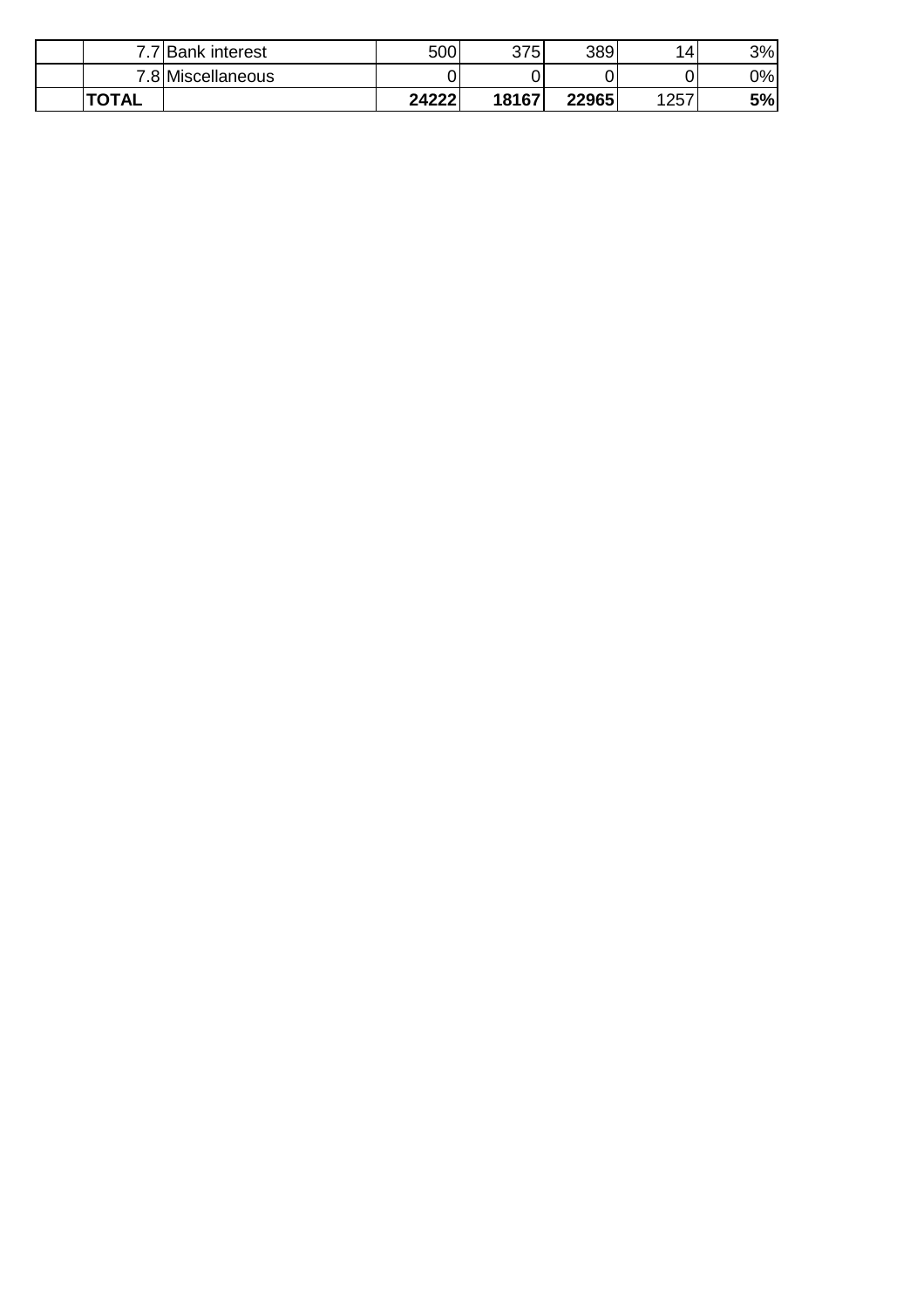| ⇁            | <b>Bank interest</b> | 500   | 375   | 389   | 14   | 3% |
|--------------|----------------------|-------|-------|-------|------|----|
| ⇁            | .8 Miscellaneous     |       |       |       | 0    | 0% |
| <b>TOTAL</b> |                      | 24222 | 18167 | 22965 | 1257 | 5% |